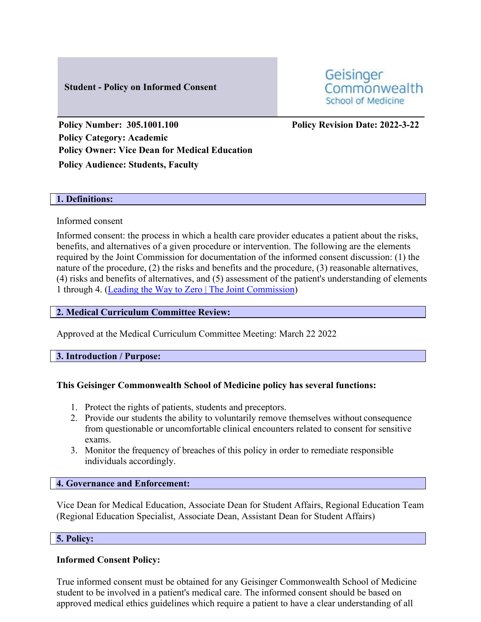# **Student - Policy on Informed Consent**

Geisinger Commonwealth **School of Medicine** 

**Policy Number: 305.1001.100 Policy Revision Date: 2022-3-22 Policy Category: Academic Policy Owner: Vice Dean for Medical Education Policy Audience: Students, Faculty**

# **1. Definitions:**

# Informed consent

Informed consent: the process in which a health care provider educates a patient about the risks, benefits, and alternatives of a given procedure or intervention. The following are the elements required by the Joint Commission for documentation of the informed consent discussion: (1) the nature of the procedure, (2) the risks and benefits and the procedure, (3) reasonable alternatives, (4) risks and benefits of alternatives, and (5) assessment of the patient's understanding of elements 1 through 4. [\(Leading the Way to Zero | The Joint Commission\)](https://www.jointcommission.org/)

# **2. Medical Curriculum Committee Review:**

Approved at the Medical Curriculum Committee Meeting: March 22 2022

# **3. Introduction / Purpose:**

# **This Geisinger Commonwealth School of Medicine policy has several functions:**

- 1. Protect the rights of patients, students and preceptors.
- 2. Provide our students the ability to voluntarily remove themselves without consequence from questionable or uncomfortable clinical encounters related to consent for sensitive exams.
- 3. Monitor the frequency of breaches of this policy in order to remediate responsible individuals accordingly.

# **4. Governance and Enforcement:**

Vice Dean for Medical Education, Associate Dean for Student Affairs, Regional Education Team (Regional Education Specialist, Associate Dean, Assistant Dean for Student Affairs)

# **5. Policy:**

# **Informed Consent Policy:**

True informed consent must be obtained for any Geisinger Commonwealth School of Medicine student to be involved in a patient's medical care. The informed consent should be based on approved medical ethics guidelines which require a patient to have a clear understanding of all